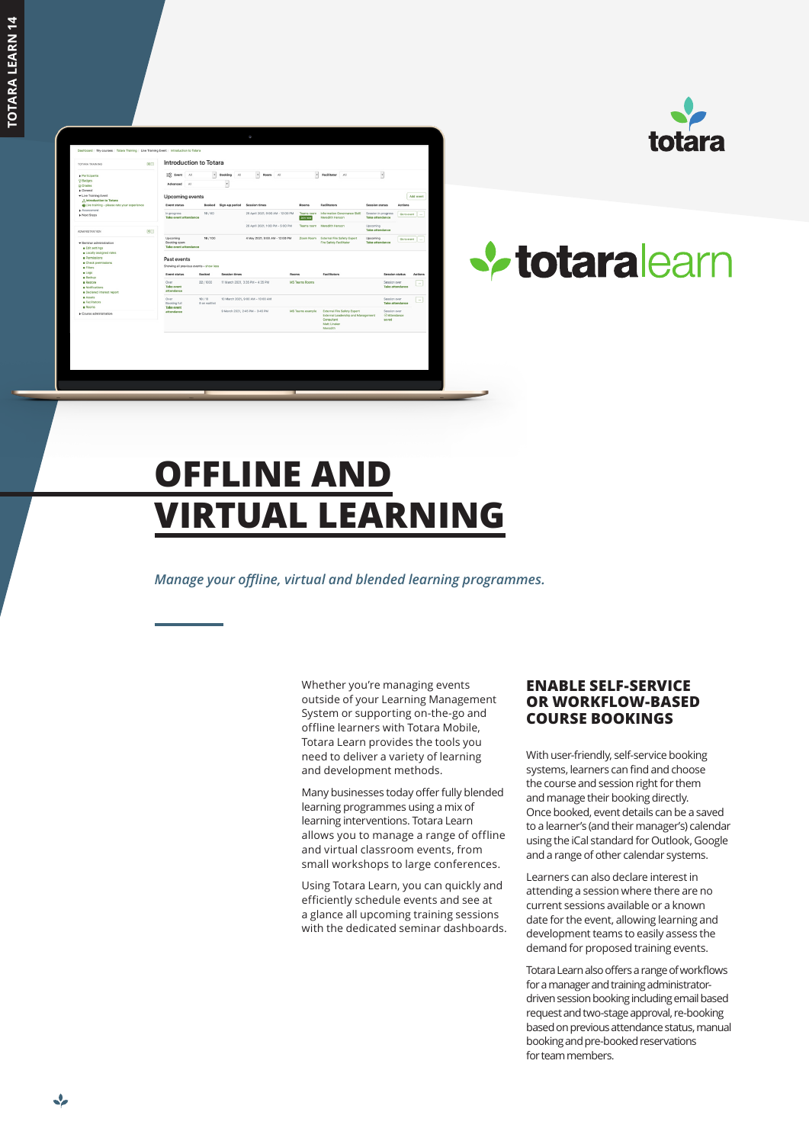



# **V** totaralearn

## **OFFLINE AND VIRTUAL LEARNING**

*Manage your offline, virtual and blended learning programmes.*

Whether you're managing events outside of your Learning Management System or supporting on-the-go and offline learners with Totara Mobile, Totara Learn provides the tools you need to deliver a variety of learning and development methods.

Many businesses today offer fully blended learning programmes using a mix of learning interventions. Totara Learn allows you to manage a range of offline and virtual classroom events, from small workshops to large conferences.

Using Totara Learn, you can quickly and efficiently schedule events and see at a glance all upcoming training sessions with the dedicated seminar dashboards.

#### **ENABLE SELF-SERVICE OR WORKFLOW-BASED COURSE BOOKINGS**

With user-friendly, self-service booking systems, learners can find and choose the course and session right for them and manage their booking directly. Once booked, event details can be a saved to a learner's (and their manager's) calendar using the iCal standard for Outlook, Google and a range of other calendar systems.

Learners can also declare interest in attending a session where there are no current sessions available or a known date for the event, allowing learning and development teams to easily assess the demand for proposed training events.

Totara Learn also offers a range of workflows for a manager and training administratordriven session booking including email based request and two-stage approval, re-booking based on previous attendance status, manual booking and pre-booked reservations for team members.

 $\cdot$